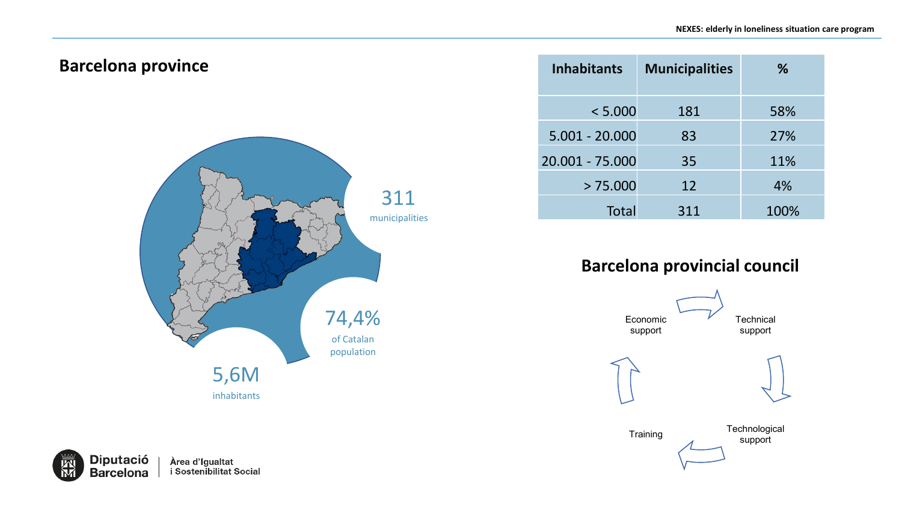#### **Barcelona province**



**Inhabitants Municipalities %** < 5.000 181 58% 5.001 - 20.000 83 27% 20.001 - 75.000 35 11%  $> 75.000$  12 4% Total 311 100%

#### **Barcelona provincial council**



**Diputació** Àrea d'Igualtat<br>i Sostenibilitat Social **Barcelona**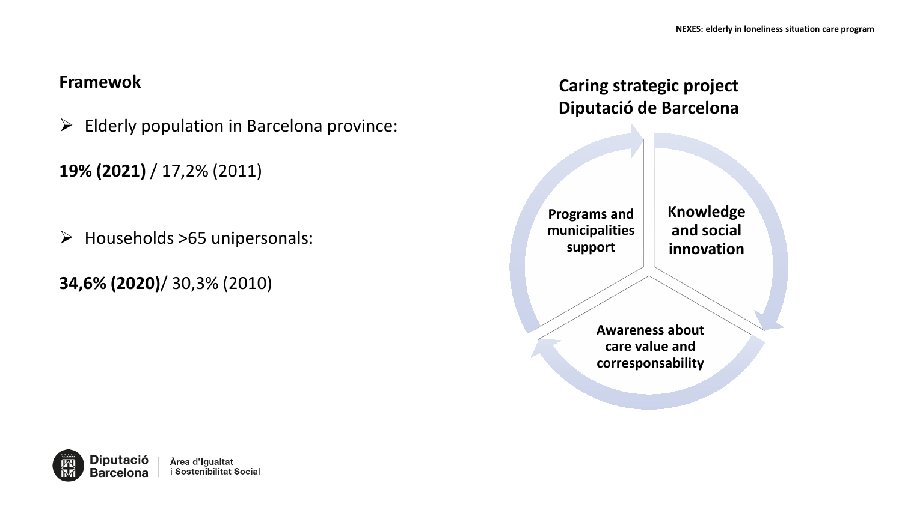#### **Framewok**

- $\triangleright$  Elderly population in Barcelona province:
- **19% (2021)** / 17,2% (2011)
- $\triangleright$  Households >65 unipersonals:
- **34,6% (2020)**/ 30,3% (2010)

### **Caring strategic project Diputació de Barcelona**

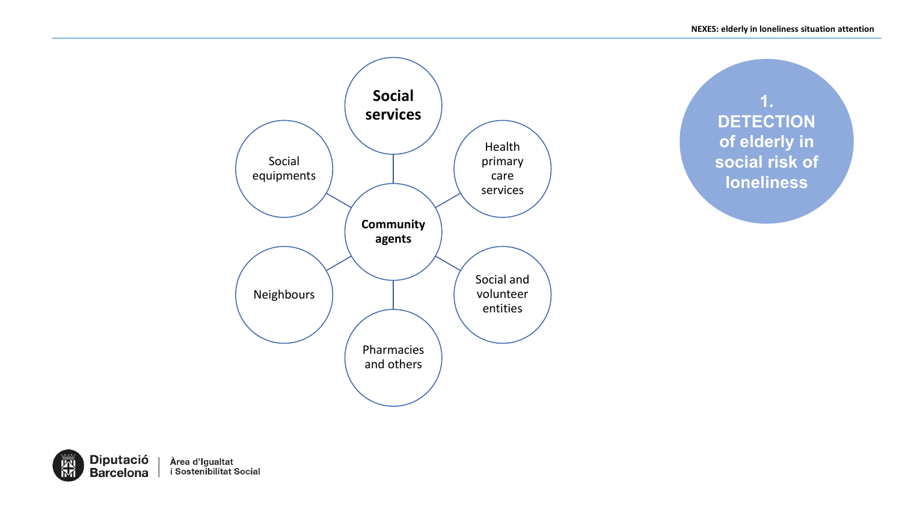



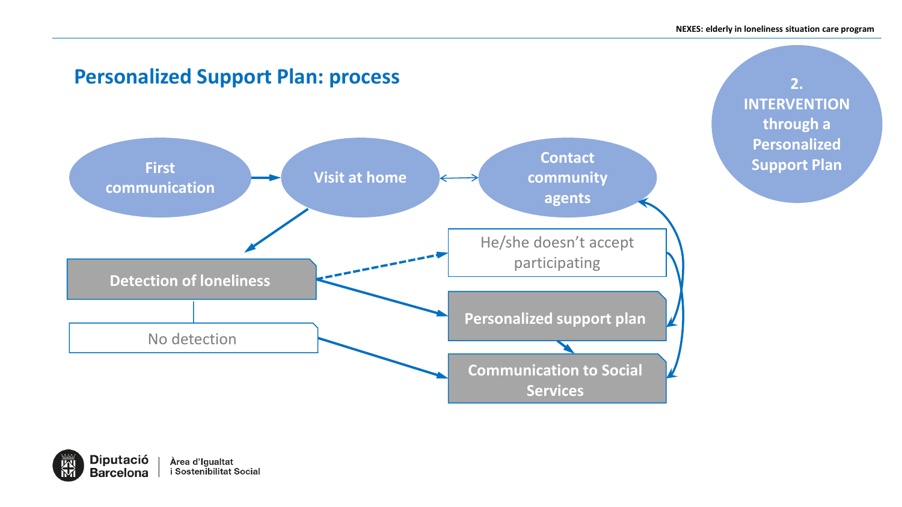

**2. INTERVENTION through a Personalized Support Plan**

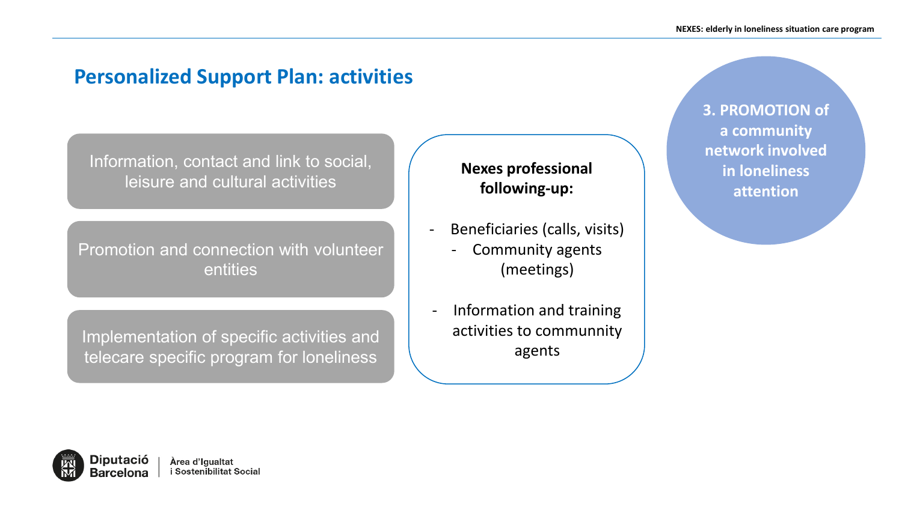## **Personalized Support Plan: activities**

Information, contact and link to social, leisure and cultural activities

Promotion and connection with volunteer entities

Implementation of specific activities and telecare specific program for loneliness

**Nexes professional following-up:**

- Beneficiaries (calls, visits)
	- Community agents (meetings)
	- Information and training activities to communnity agents

**3. PROMOTION of a community network involved in loneliness attention**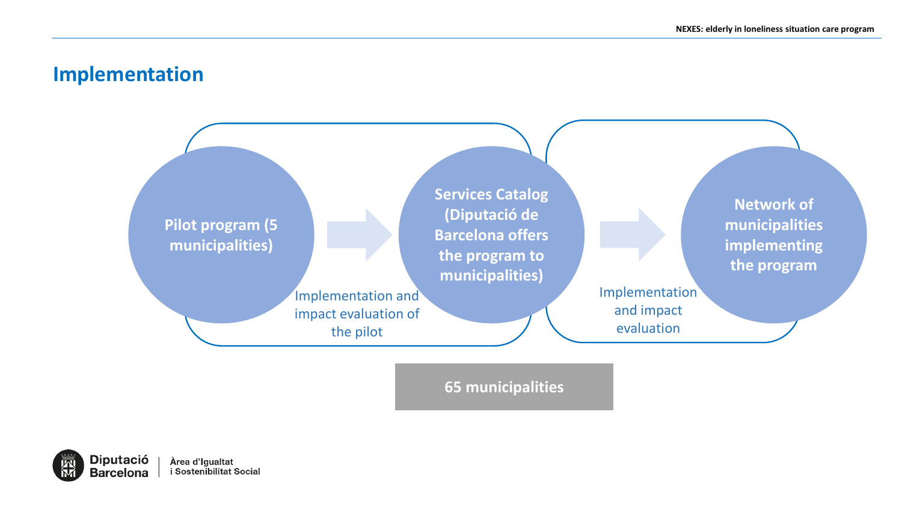### **Implementation**



**65 municipalities**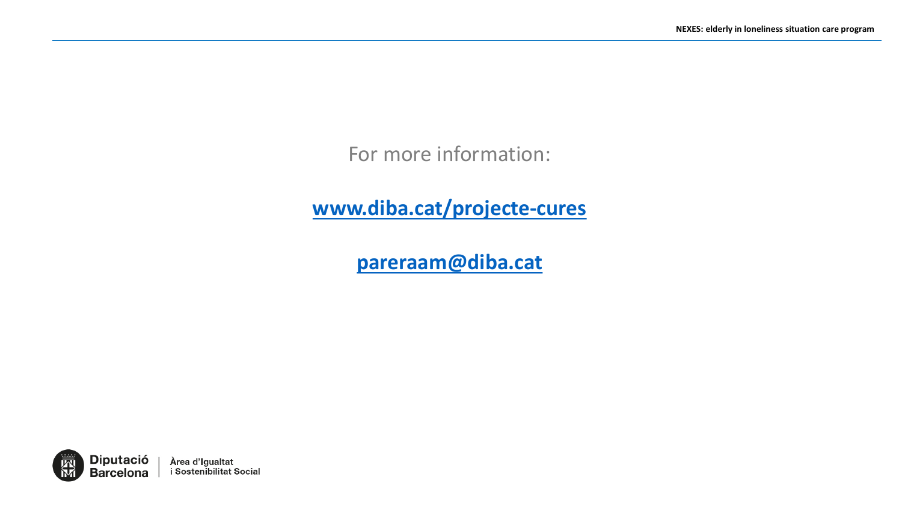For more information:

**[www.diba.cat/projecte-cures](http://www.diba.cat/projecte-cures)**

**[pareraam@diba.cat](mailto:aiss.scic@diba.cat)**